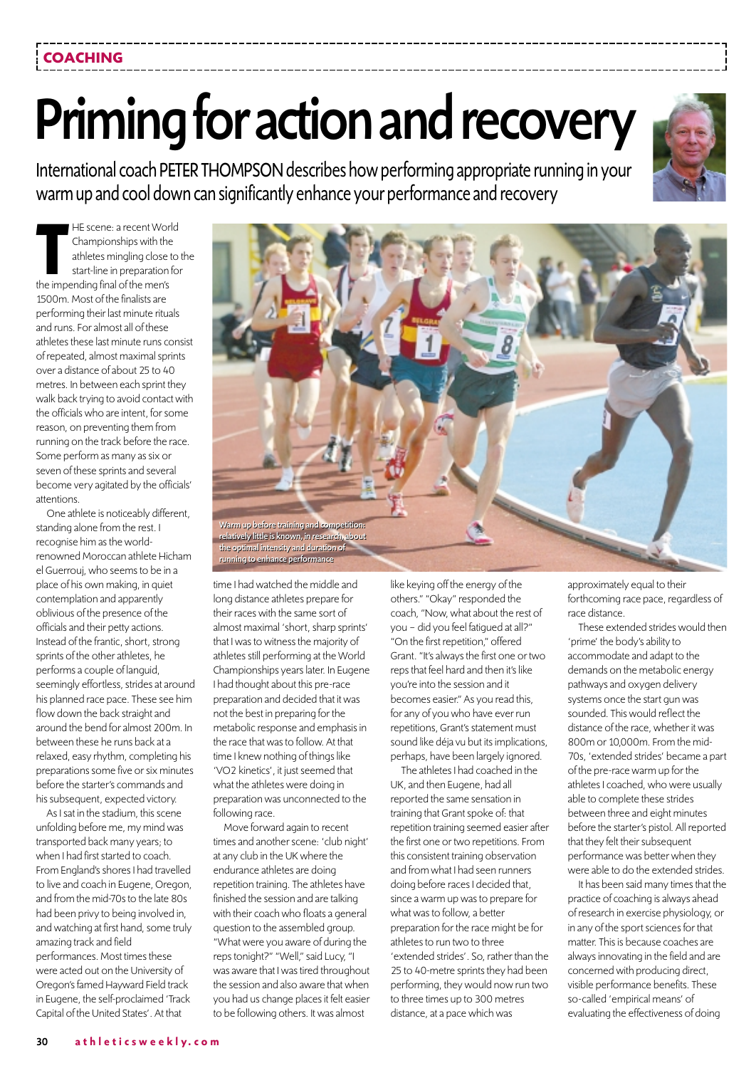## **COACHING**

@@@@@@@@e?  $\Gamma$  .

@@g@@g@@g@@g@@g@@g@@@@@@@@ @@@@@@@@

## Priming for action and recovery

@@@@@@@@e?@@@@@@@@?e@@@@@@@@e?@@@@@@@@?e@@@@@@@@e?@@@@@@@@?e@@@@@@@@e?@@@@@@@@?e@@@@@@@@e?@@@@@@@@?e@@@@@@@@e?@@@@@@@@?e@@@@@@@@e?@@@@@@@@?e@@@@@@@@e?@@@@@@@@?e@@@@@@@@e?@@@@@@@@?e@@@@@@@@e?@@@@@@@@?e@@@@@@@@e?@@@@@@@@?e@@@@@@@@e?@@@@@@@@?e@@@@@@@@e?@@@@@@@@?e@@@@@@@@e?@@@@@@@@?e@@@@@@@@e?@@@@@@@@?e@@@@@@@@e?@@@@@@@@?e@@@@@@@@e?@@@@@@@@?e@@@@@@@@e?@@@@@@@@?e@@@@@@@@e?@@@@@@@@?e@@@@@@@@e?@@@@@@@@?e@@@@@@@@e?@@@@@@@@?e@@@@@@@@e?@@@@@@@@?e@@@@@@@@e?@@@@@@@@?e@@@@@@@@e?@@@@@@@@?e@@@@@@@@e?@@@@@@@@?e@@@@@@@@e?@@@@@@@@?e@@@@@@@@e?@@@@@@@@?e@@@@@@@@e?@@@@@@@@?e@@@@@@@@e?@@@@@@@@?e@@@@@@@@e?@@@@@@@@?e@@@@@@@@e?@@@@@@@@?e@@@@@@@@e?@@@@@@@@?e@@@@@@@@e?@@@@@@@@?e@@@@@@@@e?@@@@@@@@?e@@@@@@@@e?@@@@@@@@?e@@@@@@@@e?@@@@@@@@?e@@@@@@@@e?@@@@@@@@?e@@@@@@@@e?@@@@@@@@? @@@@@@@@e?@@@@@@@@?e@@@@@@@@e?@@@@@@@@?e@@@@@@@@e?@@@@@@@@?e@@@@@@@@e?@@@@@@@@?e@@@@@@@@e?@@@@@@@@?e@@@@@@@@e?@@@@@@@@?e@@@@@@@@e?@@@@@@@@?e@@@@@@@@e?@@@@@@@@?e@@@@@@@@e?@@@@@@@@?e@@@@@@@@e?@@@@@@@@?e@@@@@@@@e? @@@@@@@@e?@@@@@@@@?e@@@@@@@@e?@@@@@@@@?e@@@@@@@@e?@@@@@@@@?e@@@@@@@@e?@@@@@@@@?e@@@@@@@@e?@@@@@@@@?e@@@@@@@@e?@@@@@@@@?e@@@@@@@@e?@@@@@@@@?e@@@@@@@@e?@@@@@@@@?e@@@@@@@@e?@@@@@@@@?e@@@@@@@@e?@@@@@@@@?e@@@@@@@@e?@@@@@@@@?e@@@@@@@@e?@@@@@@@@?e@@@@@@@@e?@@@@@@@@?e@@@@@@@@e?@@@@@@@@?e@@@@@@@@e?@@@@@@@@?e@@@@@@@@e?@@@@@@@@?e@@@@@@@@e?@@@@@@@@?e@@@@@@@@e?@@@@@@@@?e@@@@@@@@e?@@@@@@@@?e@@@@@@@@e?@@@@@@@@?e@@@@@@@@e?@@@@@@@@?e@@@@@@@@e?@@@@@@@@?e@@@@@@@@e?@@@@@@@@?e@@@@@@@@e?@@@@@@@@?e@@@@@@@@e?@@@@@@@@?e@@@@@@@@e?@@@@@@@@?e@@@@@@@@e?@@@@@@@@?e@@@@@@@@e?@@@@@@@@?e@@@@@@@@e?@@@@@@@@?e@@@@@@@@e?@@@@@@@@?e@@@@@@@@e?@@@@@@@@?e@@@@@@@@e?@@@@@@@@?e@@@@@@@@e?@@@@@@@@?e@@@@@@@@e?@@@@@@@@?e@@@@@@@@e?@@@@@@@@?e@@@@@@@@e?@@@@@@@@?e@@@@@@@@e?@@@@@@@@?e@@@@@@@@e?@@@@@@@@? @@@@@@@@e?@@@@@@@@?e@@@@@@@@e?@@@@@@@@?e@@@@@@@@e?@@@@@@@@?e@@@@@@@@e?@@@@@@@@?e@@@@@@@@e?@@@@@@@@?e@@@@@@@@e?@@@@@@@@?e@@@@@@@@e?@@@@@@@@?e@@@@@@@@e?@@@@@@@@?e@@@@@@@@e?@@@@@@@@?e@@@@@@@@e?@@@@@@@@?e@@@@@@@@e?@@@@@@@@ @@@@@@@@@@@@@@@@@@@@

?@@ ?@@ ?@@?@@@@@@@@ ?@@@@@@@@ ?@@@@@@@@?e@@@@@@@@e?@@@@@@@@?e@@@@@@@@e?@@@@@@@@?e@@@@@@@@e?@@@@@@@@?e@@@@@@@@e?@@@@@@@@?e@@@@@@@@e?@@@@@@@@?e@@@@@@@@e?@@@@@@@@?e@@@@@@@@e?@@@@@@@@?e@@@@@@@@e?@@@@@@@@?e@@@@@@@@e?@@@@@@@@?e@@@@@@@@e?@@@@@@@@?e@@@@@@@@e?@@@@@@@@?e@@@@@@@@e?@@@@@@@@?e@@@@@@@@e?@@@@@@@@?e@@@@@@@@e?@@@@@@@@?e@@@@@@@@e?@@@@@@@@?e@@@@@@@@e?@@@@@@@@?e@@@@@@@@e?@@@@@@@@?e@@@@@@@@e?@@@@@@@@?e@@@@@@@@e?@@@@@@@@?e@@@@@@@@e?@@@@@@@@?e@@@@@@@@e?@@@@@@@@?e@@@@@@@@e?@@@@@@@@?e@@@@@@@@e?@@@@@@@@?e@@@@@@@@e?@@@@@@@@?e@@@@@@@@e?@@@@@@@@?e@@@@@@@@e?@@@@@@@@?e@@@@@@@@e?@@@@@@@@?e@@@@@@@@e?@@@@@@@@?e@@@@@@@@e?@@@@@@@@?e@@@@@@@@e?@@@@@@@@?e@@@@@@@@e?@@@@@@@@?e@@@@@@@@e?@@@@@@@@?e@@@@@@@@e?@@@@@@@@?e@@@@@@@@e?@@@@@@@@?e@@@@@@@@e?@@@@@@@@?e@@@@@@@@e?@@@@@@@@?e@@@@@@@@e?@@@@@@@@?e@@@@@@@@ ?@@@@@@@@?e@@@@@@@@e?@@@@@@@@?e@@@@@@@@e?@@@@@@@@?e@@@@@@@@e?@@@@@@@@?e@@@@@@@@e?@@@@@@@@?e@@@@@@@@e?@@@@@@@@?e@@@@@@@@e?@@@@@@@@?e@@@@@@@@e?@@@@@@@@?e@@@@@@@@e?@@@@@@@@?e@@@@@@@@e?@@@@@@@@?e@@@@@@@@e?@@@@@@@@ ?@@@@@@@@?e@@@@@@@@e?@@@@@@@@?e@@@@@@@@e?@@@@@@@@?e@@@@@@@@e?@@@@@@@@?e@@@@@@@@e?@@@@@@@@?e@@@@@@@@e?@@@@@@@@?e@@@@@@@@e?@@@@@@@@?e@@@@@@@@e?@@@@@@@@?e@@@@@@@@e?@@@@@@@@?e@@@@@@@@e?@@@@@@@@?e@@@@@@@@e?@@@@@@@@?e@@@@@@@@e?@@@@@@@@?e@@@@@@@@e?@@@@@@@@?e@@@@@@@@e?@@@@@@@@?e@@@@@@@@e?@@@@@@@@?e@@@@@@@@e?@@@@@@@@?e@@@@@@@@e?@@@@@@@@?e@@@@@@@@e?@@@@@@@@?e@@@@@@@@e?@@@@@@@@?e@@@@@@@@e?@@@@@@@@?e@@@@@@@@e?@@@@@@@@?e@@@@@@@@e?@@@@@@@@?e@@@@@@@@e?@@@@@@@@?e@@@@@@@@e?@@@@@@@@?e@@@@@@@@e?@@@@@@@@?e@@@@@@@@e?@@@@@@@@?e@@@@@@@@e?@@@@@@@@?e@@@@@@@@e?@@@@@@@@?e@@@@@@@@e?@@@@@@@@?e@@@@@@@@e?@@@@@@@@?e@@@@@@@@e?@@@@@@@@?e@@@@@@@@e?@@@@@@@@?e@@@@@@@@e?@@@@@@@@?e@@@@@@@@e?@@@@@@@@?e@@@@@@@@e?@@@@@@@@?e@@@@@@@@e?@@@@@@@@?e@@@@@@@@e?@@@@@@@@?e@@@@@@@@e?@@@@@@@@?e@@@@@@@@ ?@@@@@@@@?e@@@@@@@@e?@@@@@@@@?e@@@@@@@@e?@@@@@@@@?e@@@@@@@@e?@@@@@@@@?e@@@@@@@@e?@@@@@@@@?e@@@@@@@@e?@@@@@@@@?e@@@@@@@@e?@@@@@@@@?e@@@@@@@@e?@@@@@@@@?e@@@@@@@@e?@@@@@@@@?e@@@@@@@@e?@@@@@@@@?e@@@@@@@@e?@@@@@@@@

@@@@

International coach PETER THOMPSON describes how performing appropriate running in your warm up and cool down can significantly enhance your performance and recovery

**THE scene: a recent World<br>Championships with the<br>athletes mingling close to<br>start-line in preparation for<br>the impending final of the men's** Championships with the athletes mingling close to the start-line in preparation for the impending final of the men's 1500m. Most of the finalists are performing their last minute rituals and runs. For almost all of these athletes these last minute runs consist of repeated, almost maximal sprints over a distance of about 25 to 40 metres. In between each sprint they walk back trying to avoid contact with the officials who are intent, for some reason, on preventing them from running on the track before the race. Some perform as many as six or seven of these sprints and several become very agitated by the officials' attentions.

One athlete is noticeably different, standing alone from the rest. I recognise him as the worldrenowned Moroccan athlete Hicham el Guerrouj, who seems to be in a place of his own making, in quiet contemplation and apparently oblivious of the presence of the officials and their petty actions. Instead of the frantic, short, strong sprints of the other athletes, he performs a couple of languid, seemingly effortless, strides at around his planned race pace. These see him flow down the back straight and around the bend for almost 200m. In between these he runs back at a relaxed, easy rhythm, completing his preparations some five or six minutes before the starter's commands and his subsequent, expected victory.

As I sat in the stadium, this scene unfolding before me, my mind was transported back many years; to when I had first started to coach. From England's shores I had travelled to live and coach in Eugene, Oregon, and from the mid-70s to the late 80s had been privy to being involved in, and watching at first hand, some truly amazing track and field performances. Most times these were acted out on the University of Oregon's famed Hayward Field track in Eugene, the self-proclaimed 'Track Capital of the United States'. At that



running to enhance performance

time I had watched the middle and long distance athletes prepare for their races with the same sort of almost maximal 'short, sharp sprints' that I was to witness the majority of athletes still performing at the World Championships years later. In Eugene I had thought about this pre-race preparation and decided that it was not the best in preparing for the metabolic response and emphasis in the race that was to follow. At that time I knew nothing of things like 'VO2 kinetics', it just seemed that what the athletes were doing in preparation was unconnected to the following race.

Move forward again to recent times and another scene: 'club night' at any club in the UK where the endurance athletes are doing repetition training. The athletes have finished the session and are talking with their coach who floats a general question to the assembled group. "What were you aware of during the reps tonight?" "Well," said Lucy, "I was aware that I was tired throughout the session and also aware that when you had us change places it felt easier to be following others. It was almost

like keying off the energy of the others." "Okay" responded the coach, "Now, what about the rest of you – did you feel fatigued at all?" "On the first repetition," offered Grant. "It's always the first one or two reps that feel hard and then it's like you're into the session and it becomes easier." As you read this, for any of you who have ever run repetitions, Grant's statement must sound like déja vu but its implications, perhaps, have been largely ignored.

The athletes I had coached in the UK, and then Eugene, had all reported the same sensation in training that Grant spoke of: that repetition training seemed easier after the first one or two repetitions. From this consistent training observation and from what I had seen runners doing before races I decided that, since a warm up was to prepare for what was to follow, a better preparation for the race might be for athletes to run two to three 'extended strides'. So, rather than the 25 to 40-metre sprints they had been performing, they would now run two to three times up to 300 metres distance, at a pace which was

approximately equal to their forthcoming race pace, regardless of race distance.

These extended strides would then 'prime' the body's ability to accommodate and adapt to the demands on the metabolic energy pathways and oxygen delivery systems once the start gun was sounded. This would reflect the distance of the race, whether it was 800m or 10,000m. From the mid-70s, 'extended strides' became a part of the pre-race warm up for the athletes I coached, who were usually able to complete these strides between three and eight minutes before the starter's pistol. All reported that they felt their subsequent performance was better when they were able to do the extended strides.

It has been said many times that the practice of coaching is always ahead of research in exercise physiology, or in any of the sport sciences for that matter. This is because coaches are always innovating in the field and are concerned with producing direct, visible performance benefits. These so-called 'empirical means' of evaluating the effectiveness of doing